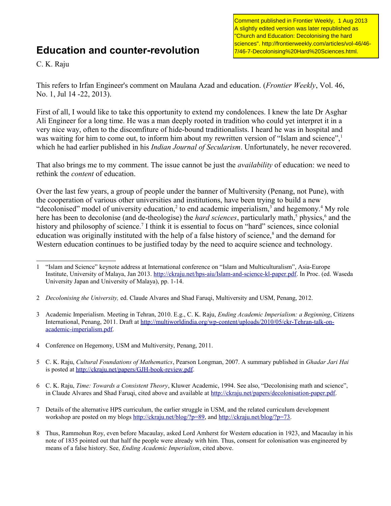## **Education and counter-revolution**

Comment published in Frontier Weekly, 1 Aug 2013 A slightly edited version was later republished as "Church and Education: Decolonising the hard sciences". http://frontierweekly.com/articles/vol-46/46- 7/46-7-Decolonising%20Hard%20Sciences.html.

C. K. Raju

This refers to Irfan Engineer's comment on Maulana Azad and education. (*Frontier Weekly*, Vol. 46, No. 1, Jul 14 -22, 2013).

First of all, I would like to take this opportunity to extend my condolences. I knew the late Dr Asghar Ali Engineer for a long time. He was a man deeply rooted in tradition who could yet interpret it in a very nice way, often to the discomfiture of hide-bound traditionalists. I heard he was in hospital and was waiting for him to come out, to inform him about my rewritten version of "Islam and science", which he had earlier published in his *Indian Journal of Secularism*. Unfortunately, he never recovered.

That also brings me to my comment. The issue cannot be just the *availability* of education: we need to rethink the *content* of education.

Over the last few years, a group of people under the banner of Multiversity (Penang, not Pune), with the cooperation of various other universities and institutions, have been trying to build a new "decolonised" model of university education,<sup>[2](#page-0-1)</sup> to end academic imperialism,<sup>[3](#page-0-2)</sup> and hegemony.<sup>[4](#page-0-3)</sup> My role here has been to decolonise (and de-theologise) the *hard sciences*, particularly math,<sup>[5](#page-0-4)</sup> physics,<sup>[6](#page-0-5)</sup> and the history and philosophy of science.<sup>[7](#page-0-6)</sup> I think it is essential to focus on "hard" sciences, since colonial education was originally instituted with the help of a false history of science,<sup>[8](#page-0-7)</sup> and the demand for Western education continues to be justified today by the need to acquire science and technology.

- <span id="page-0-3"></span>4 Conference on Hegemony, USM and Multiversity, Penang, 2011.
- <span id="page-0-4"></span>5 C. K. Raju, *Cultural Foundations of Mathematics*, Pearson Longman, 2007. A summary published in *Ghadar Jari Hai*  is posted at [http://ckraju.net/papers/GJH-book-review.pdf.](http://ckraju.net/papers/GJH-book-review.pdf)
- <span id="page-0-5"></span>6 C. K. Raju, *Time: Towards a Consistent Theory*, Kluwer Academic, 1994. See also, "Decolonising math and science", in Claude Alvares and Shad Faruqi, cited above and available at [http://ckraju.net/papers/decolonisation-paper.pdf.](http://ckraju.net/papers/decolonisation-paper.pdf)
- <span id="page-0-6"></span>7 Details of the alternative HPS curriculum, the earlier struggle in USM, and the related curriculum development workshop are posted on my blogs [http://ckraju.net/blog/?p=89,](http://ckraju.net/blog/?p=89) and [http://ckraju.net/blog/?p=73.](http://ckraju.net/blog/?p=73)
- <span id="page-0-7"></span>8 Thus, Rammohun Roy, even before Macaulay, asked Lord Amherst for Western education in 1923, and Macaulay in his note of 1835 pointed out that half the people were already with him. Thus, consent for colonisation was engineered by means of a false history. See, *Ending Academic Imperialism*, cited above.

<span id="page-0-0"></span><sup>1</sup> "Islam and Science" keynote address at International conference on "Islam and Multiculturalism", Asia-Europe Institute, University of Malaya, Jan 2013. [http://ckraju.net/hps-aiu/Islam-and-science-kl-paper.pdf.](http://ckraju.net/hps-aiu/Islam-and-science-kl-paper.pdf) In Proc. (ed. Waseda University Japan and University of Malaya), pp. 1-14.

<span id="page-0-1"></span><sup>2</sup> *Decolonising the University,* ed. Claude Alvares and Shad Faruqi, Multiversity and USM, Penang, 2012.

<span id="page-0-2"></span><sup>3</sup> Academic Imperialism. Meeting in Tehran, 2010. E.g., C. K. Raju, *Ending Academic Imperialism: a Beginning*, Citizens International, Penang, 2011. Draft at [http://multiworldindia.org/wp-content/uploads/2010/05/ckr-Tehran-talk-on](http://multiworldindia.org/wp-content/uploads/2010/05/ckr-Tehran-talk-on-academic-imperialism.pdf)[academic-imperialism.pdf.](http://multiworldindia.org/wp-content/uploads/2010/05/ckr-Tehran-talk-on-academic-imperialism.pdf)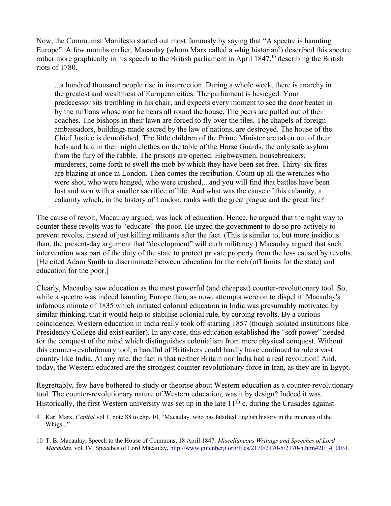Now, the Communist Manifesto started out most famously by saying that "A spectre is haunting Europe". A few months earlier, Macaulay (whom Marx called a whig historian<sup>[9](#page-1-0)</sup>) described this spectre rather more graphically in his speech to the British parliament in April 1847,<sup>[10](#page-1-1)</sup> describing the British riots of 1780.

...a hundred thousand people rise in insurrection. During a whole week, there is anarchy in the greatest and wealthiest of European cities. The parliament is besieged. Your predecessor sits trembling in his chair, and expects every moment to see the door beaten in by the ruffians whose roar he hears all round the house. The peers are pulled out of their coaches. The bishops in their lawn are forced to fly over the tiles. The chapels of foreign ambassadors, buildings made sacred by the law of nations, are destroyed. The house of the Chief Justice is demolished. The little children of the Prime Minister are taken out of their beds and laid in their night clothes on the table of the Horse Guards, the only safe asylum from the fury of the rabble. The prisons are opened. Highwaymen, housebreakers, murderers, come forth to swell the mob by which they have been set free. Thirty-six fires are blazing at once in London. Then comes the retribution. Count up all the wretches who were shot, who were hanged, who were crushed,...and you will find that battles have been lost and won with a smaller sacrifice of life. And what was the cause of this calamity, a calamity which, in the history of London, ranks with the great plague and the great fire?

The cause of revolt, Macaulay argued, was lack of education. Hence, he argued that the right way to counter these revolts was to "educate" the poor. He urged the government to do so pro-actively to prevent revolts, instead of just killing militants after the fact. (This is similar to, but more insidious than, the present-day argument that "development" will curb militancy.) Macaulay argued that such intervention was part of the duty of the state to protect private property from the loss caused by revolts. [He cited Adam Smith to discriminate between education for the rich (off limits for the state) and education for the poor.]

Clearly, Macaulay saw education as the most powerful (and cheapest) counter-revolutionary tool. So, while a spectre was indeed haunting Europe then, as now, attempts were on to dispel it. Macaulay's infamous minute of 1835 which initiated colonial education in India was presumably motivated by similar thinking, that it would help to stabilise colonial rule, by curbing revolts. By a curious coincidence, Western education in India really took off starting 1857 (though isolated institutions like Presidency College did exist earlier). In any case, this education established the "soft power" needed for the conquest of the mind which distinguishes colonialism from mere physical conquest. Without this counter-revolutionary tool, a handful of Britishers could hardly have continued to rule a vast country like India. At any rate, the fact is that neither Britain nor India had a real revolution! And, today, the Western educated are the strongest counter-revolutionary force in Iran, as they are in Egypt.

Regrettably, few have bothered to study or theorise about Western education as a counter-revolutionary tool. The counter-revolutionary nature of Western education, was it by design? Indeed it was. Historically, the first Western university was set up in the late  $11<sup>th</sup>$  c. during the Crusades against

<span id="page-1-0"></span><sup>9</sup> Karl Marx, *Capital* vol 1, note 88 to chp. 10, "Macaulay, who has falsified English history in the interests of the Whigs..."

<span id="page-1-1"></span><sup>10</sup> T. B. Macaulay, Speech to the House of Commons, 18 April 1847. *Miscellaneous Writings and Speeches of Lord Macaulay*, vol. IV, Speeches of Lord Macaulay, http://www.gutenberg.org/files/2170/2170-h/2170-h.htm#2H 4\_0031.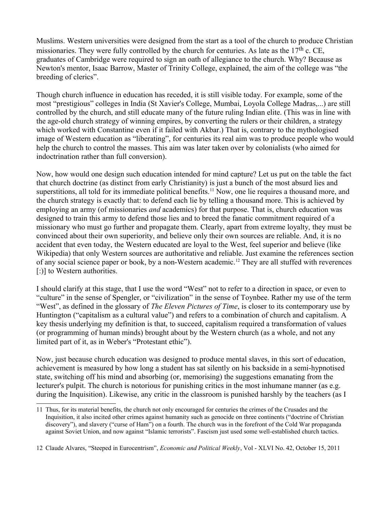Muslims. Western universities were designed from the start as a tool of the church to produce Christian missionaries. They were fully controlled by the church for centuries. As late as the  $17<sup>th</sup>$  c. CE, graduates of Cambridge were required to sign an oath of allegiance to the church. Why? Because as Newton's mentor, Isaac Barrow, Master of Trinity College, explained, the aim of the college was "the breeding of clerics".

Though church influence in education has receded, it is still visible today. For example, some of the most "prestigious" colleges in India (St Xavier's College, Mumbai, Loyola College Madras,...) are still controlled by the church, and still educate many of the future ruling Indian elite. (This was in line with the age-old church strategy of winning empires, by converting the rulers or their children, a strategy which worked with Constantine even if it failed with Akbar.) That is, contrary to the mythologised image of Western education as "liberating", for centuries its real aim was to produce people who would help the church to control the masses. This aim was later taken over by colonialists (who aimed for indoctrination rather than full conversion).

Now, how would one design such education intended for mind capture? Let us put on the table the fact that church doctrine (as distinct from early Christianity) is just a bunch of the most absurd lies and superstitions, all told for its immediate political benefits.<sup>[11](#page-2-0)</sup> Now, one lie requires a thousand more, and the church strategy is exactly that: to defend each lie by telling a thousand more. This is achieved by employing an army (of missionaries *and* academics) for that purpose. That is, church education was designed to train this army to defend those lies and to breed the fanatic commitment required of a missionary who must go further and propagate them. Clearly, apart from extreme loyalty, they must be convinced about their own superiority, and believe only their own sources are reliable. And, it is no accident that even today, the Western educated are loyal to the West, feel superior and believe (like Wikipedia) that only Western sources are authoritative and reliable. Just examine the references section of any social science paper or book, by a non-Western academic.[12](#page-2-1) They are all stuffed with reverences [:)] to Western authorities.

I should clarify at this stage, that I use the word "West" not to refer to a direction in space, or even to "culture" in the sense of Spengler, or "civilization" in the sense of Toynbee. Rather my use of the term "West", as defined in the glossary of *The Eleven Pictures of Time*, is closer to its contemporary use by Huntington ("capitalism as a cultural value") and refers to a combination of church and capitalism. A key thesis underlying my definition is that, to succeed, capitalism required a transformation of values (or programming of human minds) brought about by the Western church (as a whole, and not any limited part of it, as in Weber's "Protestant ethic").

Now, just because church education was designed to produce mental slaves, in this sort of education, achievement is measured by how long a student has sat silently on his backside in a semi-hypnotised state, switching off his mind and absorbing (or, memorising) the suggestions emanating from the lecturer's pulpit. The church is notorious for punishing critics in the most inhumane manner (as e.g. during the Inquisition). Likewise, any critic in the classroom is punished harshly by the teachers (as I

<span id="page-2-0"></span><sup>11</sup> Thus, for its material benefits, the church not only encouraged for centuries the crimes of the Crusades and the Inquisition, it also incited other crimes against humanity such as genocide on three continents ("doctrine of Christian discovery"), and slavery ("curse of Ham") on a fourth. The church was in the forefront of the Cold War propaganda against Soviet Union, and now against "Islamic terrorists". Fascism just used some well-established church tactics.

<span id="page-2-1"></span><sup>12</sup> Claude Alvares, "Steeped in Eurocentrism", *Economic and Political Weekly*, Vol - XLVI No. 42, October 15, 2011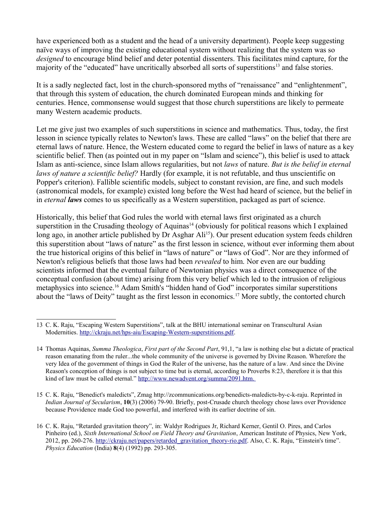have experienced both as a student and the head of a university department). People keep suggesting naïve ways of improving the existing educational system without realizing that the system was so *designed* to encourage blind belief and deter potential dissenters. This facilitates mind capture, for the majority of the "educated" have uncritically absorbed all sorts of superstitions<sup>[13](#page-3-0)</sup> and false stories.

It is a sadly neglected fact, lost in the church-sponsored myths of "renaissance" and "enlightenment", that through this system of education, the church dominated European minds and thinking for centuries. Hence, commonsense would suggest that those church superstitions are likely to permeate many Western academic products.

Let me give just two examples of such superstitions in science and mathematics. Thus, today, the first lesson in science typically relates to Newton's laws. These are called "laws" on the belief that there are eternal laws of nature. Hence, the Western educated come to regard the belief in laws of nature as a key scientific belief. Then (as pointed out in my paper on "Islam and science"), this belief is used to attack Islam as anti-science, since Islam allows regularities, but not *laws* of nature. *But is the belief in eternal laws of nature a scientific belief?* Hardly (for example, it is not refutable, and thus unscientific on Popper's criterion). Fallible scientific models, subject to constant revision, are fine, and such models (astronomical models, for example) existed long before the West had heard of science, but the belief in in *eternal laws* comes to us specifically as a Western superstition, packaged as part of science.

Historically, this belief that God rules the world with eternal laws first originated as a church superstition in the Crusading theology of Aquinas<sup>[14](#page-3-1)</sup> (obviously for political reasons which I explained long ago, in another article published by Dr Asghar Ali<sup>[15](#page-3-2)</sup>). Our present education system feeds children this superstition about "laws of nature" as the first lesson in science, without ever informing them about the true historical origins of this belief in "laws of nature" or "laws of God". Nor are they informed of Newton's religious beliefs that those laws had been *revealed* to him. Nor even are our budding scientists informed that the eventual failure of Newtonian physics was a direct consequence of the conceptual confusion (about time) arising from this very belief which led to the intrusion of religious metaphysics into science.[16](#page-3-3) Adam Smith's "hidden hand of God" incorporates similar superstitions about the "laws of Deity" taught as the first lesson in economics.[17](#page-4-0) More subtly, the contorted church

<span id="page-3-2"></span>15 C. K. Raju, "Benedict's maledicts", Zmag http://zcommunications.org/benedicts-maledicts-by-c-k-raju. Reprinted in *Indian Journal of Secularism*, **10**(3) (2006) 79-90. Briefly, post-Crusade church theology chose laws over Providence because Providence made God too powerful, and interfered with its earlier doctrine of sin.

<span id="page-3-0"></span><sup>13</sup> C. K. Raju, "Escaping Western Superstitions", talk at the BHU international seminar on Transcultural Asian Modernities. [http://ckraju.net/hps-aiu/Escaping-Western-superstitions.pdf.](http://ckraju.net/hps-aiu/Escaping-Western-superstitions.pdf)

<span id="page-3-1"></span><sup>14</sup> Thomas Aquinas, *Summa Theologica*, *First part of the Second Part*, 91,1, "a law is nothing else but a dictate of practical reason emanating from the ruler...the whole community of the universe is governed by Divine Reason. Wherefore the very Idea of the government of things in God the Ruler of the universe, has the nature of a law. And since the Divine Reason's conception of things is not subject to time but is eternal, according to Proverbs 8:23, therefore it is that this kind of law must be called eternal." [http://www.newadvent.org/summa/2091.htm.](http://www.newadvent.org/summa/2091.htm)

<span id="page-3-3"></span><sup>16</sup> C. K. Raju, "Retarded gravitation theory", in: Waldyr Rodrigues Jr, Richard Kerner, Gentil O. Pires, and Carlos Pinheiro (ed.), *Sixth International School on Field Theory and Gravitation*, American Institute of Physics, New York, 2012, pp. 260-276. [http://ckraju.net/papers/retarded\\_gravitation\\_theory-rio.pdf.](http://ckraju.net/papers/retarded_gravitation_theory-rio.pdf) Also, C. K. Raju, "Einstein's time". *Physics Education* (India) **8**(4) (1992) pp. 293-305.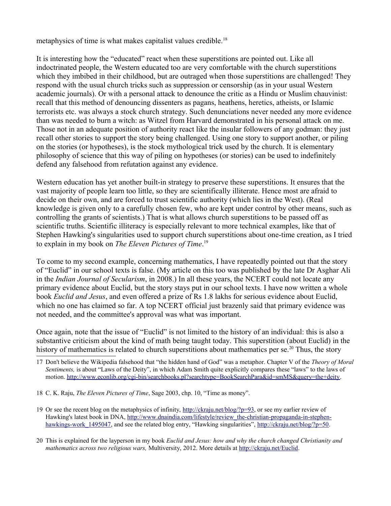metaphysics of time is what makes capitalist values credible.<sup>[18](#page-4-1)</sup>

It is interesting how the "educated" react when these superstitions are pointed out. Like all indoctrinated people, the Western educated too are very comfortable with the church superstitions which they imbibed in their childhood, but are outraged when those superstitions are challenged! They respond with the usual church tricks such as suppression or censorship (as in your usual Western academic journals). Or with a personal attack to denounce the critic as a Hindu or Muslim chauvinist: recall that this method of denouncing dissenters as pagans, heathens, heretics, atheists, or Islamic terrorists etc. was always a stock church strategy. Such denunciations never needed any more evidence than was needed to burn a witch: as Witzel from Harvard demonstrated in his personal attack on me. Those not in an adequate position of authority react like the insular followers of any godman: they just recall other stories to support the story being challenged. Using one story to support another, or piling on the stories (or hypotheses), is the stock mythological trick used by the church. It is elementary philosophy of science that this way of piling on hypotheses (or stories) can be used to indefinitely defend any falsehood from refutation against any evidence.

Western education has yet another built-in strategy to preserve these superstitions. It ensures that the vast majority of people learn too little, so they are scientifically illiterate. Hence most are afraid to decide on their own, and are forced to trust scientific authority (which lies in the West). (Real knowledge is given only to a carefully chosen few, who are kept under control by other means, such as controlling the grants of scientists.) That is what allows church superstitions to be passed off as scientific truths. Scientific illiteracy is especially relevant to more technical examples, like that of Stephen Hawking's singularities used to support church superstitions about one-time creation, as I tried to explain in my book on *The Eleven Pictures of Time*. [19](#page-4-2)

To come to my second example, concerning mathematics, I have repeatedly pointed out that the story of "Euclid" in our school texts is false. (My article on this too was published by the late Dr Asghar Ali in the *Indian Journal of Secularism*, in 2008.) In all these years, the NCERT could not locate any primary evidence about Euclid, but the story stays put in our school texts. I have now written a whole book *Euclid and Jesus*, and even offered a prize of Rs 1.8 lakhs for serious evidence about Euclid, which no one has claimed so far. A top NCERT official just brazenly said that primary evidence was not needed, and the committee's approval was what was important.

Once again, note that the issue of "Euclid" is not limited to the history of an individual: this is also a substantive criticism about the kind of math being taught today. This superstition (about Euclid) in the history of mathematics is related to church superstitions about mathematics per se.<sup>[20](#page-4-3)</sup> Thus, the story

- <span id="page-4-1"></span>18 C. K. Raju, *The Eleven Pictures of Time*, Sage 2003, chp. 10, "Time as money".
- <span id="page-4-2"></span>19 Or see the recent blog on the metaphysics of infinity, [http://ckraju.net/blog/?p=93,](http://ckraju.net/blog/?p=93) or see my earlier review of Hawking's latest book in DNA, [http://www.dnaindia.com/lifestyle/review\\_the-christian-propaganda-in-stephen](http://www.dnaindia.com/lifestyle/review_the-christian-propaganda-in-stephen-hawkings-work_1495047)[hawkings-work\\_1495047,](http://www.dnaindia.com/lifestyle/review_the-christian-propaganda-in-stephen-hawkings-work_1495047) and see the related blog entry, "Hawking singularities", [http://ckraju.net/blog/?p=50.](http://ckraju.net/blog/?p=50)
- <span id="page-4-3"></span>20 This is explained for the layperson in my book *Euclid and Jesus: how and why the church changed Christianity and mathematics across two religious wars,* Multiversity, 2012. More details at [http://ckraju.net/Euclid.](http://ckraju.net/Euclid)

<span id="page-4-0"></span><sup>17</sup> Don't believe the Wikipedia falsehood that "the hidden hand of God" was a metaphor. Chapter V of the *Theory of Moral Sentiments,* is about "Laws of the Deity", in which Adam Smith quite explicitly compares these "laws" to the laws of motion. [http://www.econlib.org/cgi-bin/searchbooks.pl?searchtype=BookSearchPara&id=smMS&query=the+deity.](http://www.econlib.org/cgi-bin/searchbooks.pl?searchtype=BookSearchPara&id=smMS&query=the+deity)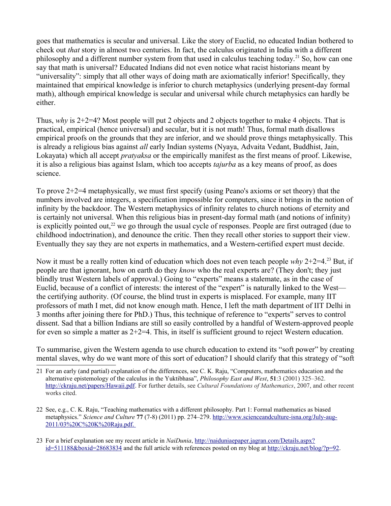goes that mathematics is secular and universal. Like the story of Euclid, no educated Indian bothered to check out *that* story in almost two centuries. In fact, the calculus originated in India with a different philosophy and a different number system from that used in calculus teaching today.<sup>[21](#page-5-0)</sup> So, how can one say that math is universal? Educated Indians did not even notice what racist historians meant by "universality": simply that all other ways of doing math are axiomatically inferior! Specifically, they maintained that empirical knowledge is inferior to church metaphysics (underlying present-day formal math), although empirical knowledge is secular and universal while church metaphysics can hardly be either.

Thus, *why* is 2+2=4? Most people will put 2 objects and 2 objects together to make 4 objects. That is practical, empirical (hence universal) and secular, but it is not math! Thus, formal math disallows empirical proofs on the grounds that they are inferior, and we should prove things metaphysically. This is already a religious bias against *all* early Indian systems (Nyaya, Advaita Vedant, Buddhist, Jain, Lokayata) which all accept *pratyaksa* or the empirically manifest as the first means of proof. Likewise, it is also a religious bias against Islam, which too accepts *tajurba* as a key means of proof, as does science.

To prove 2+2=4 metaphysically, we must first specify (using Peano's axioms or set theory) that the numbers involved are integers, a specification impossible for computers, since it brings in the notion of infinity by the backdoor. The Western metaphysics of infinity relates to church notions of eternity and is certainly not universal. When this religious bias in present-day formal math (and notions of infinity) is explicitly pointed out,<sup>[22](#page-5-1)</sup> we go through the usual cycle of responses. People are first outraged (due to childhood indoctrination), and denounce the critic. Then they recall other stories to support their view. Eventually they say they are not experts in mathematics, and a Western-certified expert must decide.

Now it must be a really rotten kind of education which does not even teach people *why* 2+2=4.[23](#page-5-2) But, if people are that ignorant, how on earth do they *know* who the real experts are? (They don't; they just blindly trust Western labels of approval.) Going to "experts" means a stalemate, as in the case of Euclid, because of a conflict of interests: the interest of the "expert" is naturally linked to the West the certifying authority. (Of course, the blind trust in experts is misplaced. For example, many IIT professors of math I met, did not know enough math. Hence, I left the math department of IIT Delhi in 3 months after joining there for PhD.) Thus, this technique of reference to "experts" serves to control dissent. Sad that a billion Indians are still so easily controlled by a handful of Western-approved people for even so simple a matter as  $2+2=4$ . This, in itself is sufficient ground to reject Western education.

To summarise, given the Western agenda to use church education to extend its "soft power" by creating mental slaves, why do we want more of this sort of education? I should clarify that this strategy of "soft

<span id="page-5-2"></span>23 For a brief explanation see my recent article in *NaiDunia*, [http://naiduniaepaper.jagran.com/Details.aspx?](http://naiduniaepaper.jagran.com/Details.aspx?id=511188&boxid=28683834) [id=511188&boxid=28683834](http://naiduniaepaper.jagran.com/Details.aspx?id=511188&boxid=28683834) and the full article with references posted on my blog at [http://ckraju.net/blog/?p=92.](http://ckraju.net/blog/?p=92)

<span id="page-5-0"></span><sup>21</sup> For an early (and partial) explanation of the differences, see C. K. Raju, "Computers, mathematics education and the alternative epistemology of the calculus in the Yuktibhasa", *Philosophy East and West*, **51**:3 (2001) 325–362. [http://ckraju.net/papers/Hawaii.pdf.](http://ckraju.net/papers/Hawaii.pdf) For further details, see *Cultural Foundations of Mathematics*, 2007, and other recent works cited.

<span id="page-5-1"></span><sup>22</sup> See, e.g., C. K. Raju, "Teaching mathematics with a different philosophy. Part 1: Formal mathematics as biased metaphysics." *Science and Culture* **77** (7-8) (2011) pp. 274–279. [http://www.scienceandculture-isna.org/July-aug-](http://www.scienceandculture-isna.org/July-aug-2011/03%20C%20K%20Raju.pdf) 2011/03%20C%20K%20Raju.pdf.